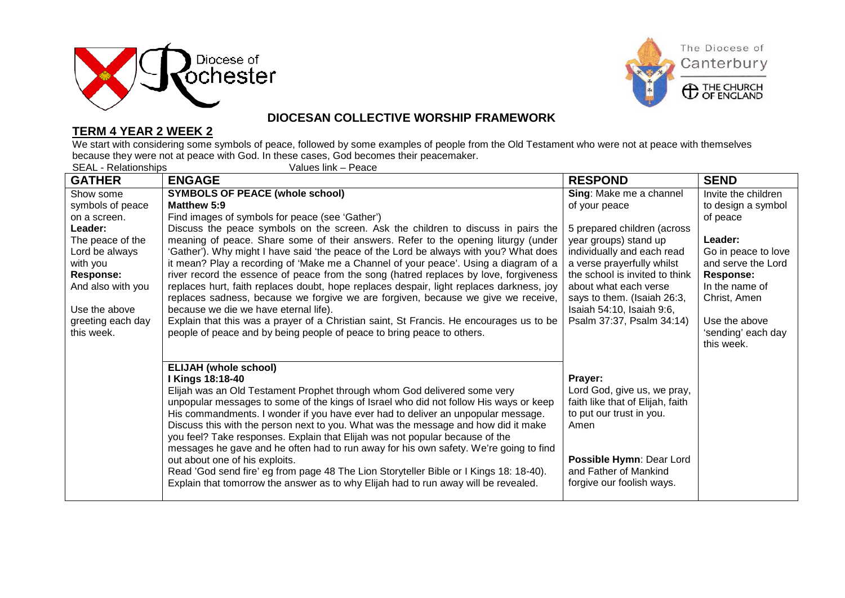



**C** THE CHURCH

## **TERM 4 YEAR 2 WEEK 2**

## **DIOCESAN COLLECTIVE WORSHIP FRAMEWORK**

We start with considering some symbols of peace, followed by some examples of people from the Old Testament who were not at peace with themselves because they were not at peace with God. In these cases, God becomes their peacemaker.<br>SEAL - Relationships<br>Values link – Peace

 $SEAI - Relations$ 

| <b>GATHER</b>     | <b>ENGAGE</b>                                                                            | <b>RESPOND</b>                   | <b>SEND</b>         |
|-------------------|------------------------------------------------------------------------------------------|----------------------------------|---------------------|
| Show some         | <b>SYMBOLS OF PEACE (whole school)</b>                                                   | Sing: Make me a channel          | Invite the children |
| symbols of peace  | Matthew 5:9                                                                              | of your peace                    | to design a symbol  |
| on a screen.      | Find images of symbols for peace (see 'Gather')                                          |                                  | of peace            |
| Leader:           | Discuss the peace symbols on the screen. Ask the children to discuss in pairs the        | 5 prepared children (across      |                     |
| The peace of the  | meaning of peace. Share some of their answers. Refer to the opening liturgy (under       | year groups) stand up            | Leader:             |
| Lord be always    | 'Gather'). Why might I have said 'the peace of the Lord be always with you? What does    | individually and each read       | Go in peace to love |
| with you          | it mean? Play a recording of 'Make me a Channel of your peace'. Using a diagram of a     | a verse prayerfully whilst       | and serve the Lord  |
| <b>Response:</b>  | river record the essence of peace from the song (hatred replaces by love, forgiveness    | the school is invited to think   | <b>Response:</b>    |
| And also with you | replaces hurt, faith replaces doubt, hope replaces despair, light replaces darkness, joy | about what each verse            | In the name of      |
|                   | replaces sadness, because we forgive we are forgiven, because we give we receive,        | says to them. (Isaiah 26:3,      | Christ, Amen        |
| Use the above     | because we die we have eternal life).                                                    | Isaiah 54:10, Isaiah 9:6,        |                     |
| greeting each day | Explain that this was a prayer of a Christian saint, St Francis. He encourages us to be  | Psalm 37:37, Psalm 34:14)        | Use the above       |
| this week.        | people of peace and by being people of peace to bring peace to others.                   |                                  | 'sending' each day  |
|                   |                                                                                          |                                  | this week.          |
|                   |                                                                                          |                                  |                     |
|                   | <b>ELIJAH (whole school)</b>                                                             |                                  |                     |
|                   | <b>I Kings 18:18-40</b>                                                                  | Prayer:                          |                     |
|                   | Elijah was an Old Testament Prophet through whom God delivered some very                 | Lord God, give us, we pray,      |                     |
|                   | unpopular messages to some of the kings of Israel who did not follow His ways or keep    | faith like that of Elijah, faith |                     |
|                   | His commandments. I wonder if you have ever had to deliver an unpopular message.         | to put our trust in you.         |                     |
|                   | Discuss this with the person next to you. What was the message and how did it make       | Amen                             |                     |
|                   | you feel? Take responses. Explain that Elijah was not popular because of the             |                                  |                     |
|                   | messages he gave and he often had to run away for his own safety. We're going to find    |                                  |                     |
|                   | out about one of his exploits.                                                           | Possible Hymn: Dear Lord         |                     |
|                   | Read 'God send fire' eg from page 48 The Lion Storyteller Bible or I Kings 18: 18-40).   | and Father of Mankind            |                     |
|                   | Explain that tomorrow the answer as to why Elijah had to run away will be revealed.      | forgive our foolish ways.        |                     |
|                   |                                                                                          |                                  |                     |